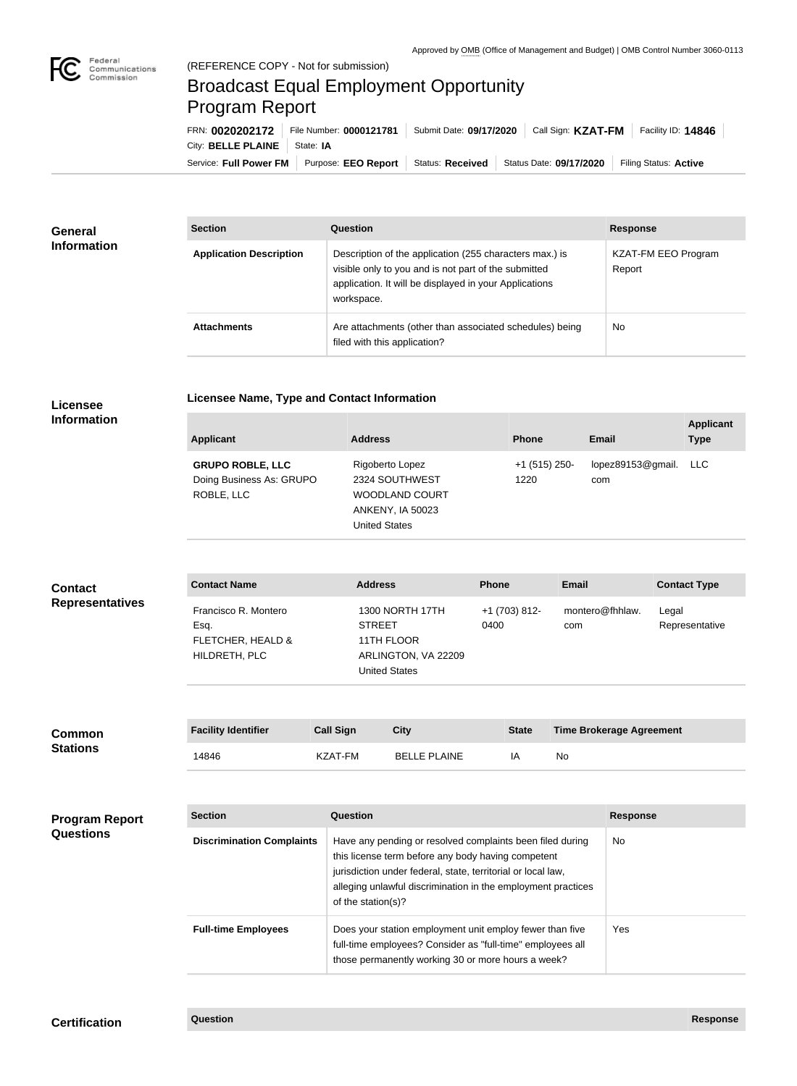

## Broadcast Equal Employment Opportunity Program Report

Service: Full Power FM Purpose: EEO Report | Status: Received | Status Date: 09/17/2020 | Filing Status: Active City: **BELLE PLAINE** | State: IA FRN: **0020202172** File Number: **0000121781** Submit Date: **09/17/2020** Call Sign: **KZAT-FM** Facility ID: **14846**

| <b>General</b><br><b>Information</b> | <b>Section</b>                 | <b>Question</b>                                                                                                                                                                         | <b>Response</b>               |  |
|--------------------------------------|--------------------------------|-----------------------------------------------------------------------------------------------------------------------------------------------------------------------------------------|-------------------------------|--|
|                                      | <b>Application Description</b> | Description of the application (255 characters max.) is<br>visible only to you and is not part of the submitted<br>application. It will be displayed in your Applications<br>workspace. | KZAT-FM EEO Program<br>Report |  |
|                                      | <b>Attachments</b>             | Are attachments (other than associated schedules) being<br>filed with this application?                                                                                                 | No                            |  |

## **Licensee Information**

**Licensee Name, Type and Contact Information**

| <b>Applicant</b>                                                  | <b>Address</b>                                                                                                | <b>Phone</b>          | <b>Email</b>                 | <b>Applicant</b><br><b>Type</b> |
|-------------------------------------------------------------------|---------------------------------------------------------------------------------------------------------------|-----------------------|------------------------------|---------------------------------|
| <b>GRUPO ROBLE, LLC</b><br>Doing Business As: GRUPO<br>ROBLE, LLC | Rigoberto Lopez<br>2324 SOUTHWEST<br><b>WOODLAND COURT</b><br><b>ANKENY, IA 50023</b><br><b>United States</b> | +1 (515) 250-<br>1220 | lopez89153@gmail. LLC<br>com |                                 |

| <b>Contact</b>         | <b>Contact Name</b>                                                | <b>Address</b>                                                                                | <b>Phone</b>          | Email                  | <b>Contact Type</b>     |
|------------------------|--------------------------------------------------------------------|-----------------------------------------------------------------------------------------------|-----------------------|------------------------|-------------------------|
| <b>Representatives</b> | Francisco R. Montero<br>Esq.<br>FLETCHER, HEALD &<br>HILDRETH, PLC | 1300 NORTH 17TH<br><b>STREET</b><br>11TH FLOOR<br>ARLINGTON, VA 22209<br><b>United States</b> | +1 (703) 812-<br>0400 | montero@fhhlaw.<br>com | Legal<br>Representative |

| <b>Common</b><br><b>Stations</b>          | <b>Facility Identifier</b>       | <b>Call Sign</b>   | <b>City</b>                                                                                                                                                                                                                                     | <b>State</b> |           | <b>Time Brokerage Agreement</b> |
|-------------------------------------------|----------------------------------|--------------------|-------------------------------------------------------------------------------------------------------------------------------------------------------------------------------------------------------------------------------------------------|--------------|-----------|---------------------------------|
|                                           | 14846                            | KZAT-FM            | <b>BELLE PLAINE</b>                                                                                                                                                                                                                             | IA           | <b>No</b> |                                 |
|                                           |                                  |                    |                                                                                                                                                                                                                                                 |              |           |                                 |
| <b>Program Report</b><br><b>Questions</b> | <b>Section</b>                   | <b>Question</b>    |                                                                                                                                                                                                                                                 |              |           | <b>Response</b>                 |
|                                           | <b>Discrimination Complaints</b> | of the station(s)? | Have any pending or resolved complaints been filed during<br>this license term before any body having competent<br>jurisdiction under federal, state, territorial or local law,<br>alleging unlawful discrimination in the employment practices |              |           | No.                             |
|                                           | <b>Full-time Employees</b>       |                    | Does your station employment unit employ fewer than five<br>full-time employees? Consider as "full-time" employees all<br>those permanently working 30 or more hours a week?                                                                    |              |           | <b>Yes</b>                      |